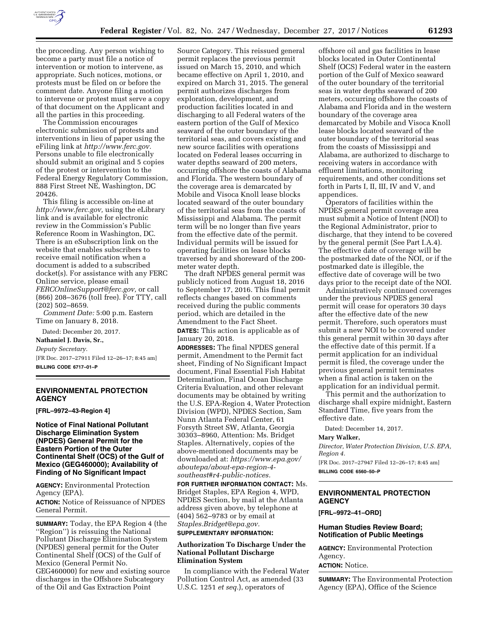

the proceeding. Any person wishing to become a party must file a notice of intervention or motion to intervene, as appropriate. Such notices, motions, or protests must be filed on or before the comment date. Anyone filing a motion to intervene or protest must serve a copy of that document on the Applicant and all the parties in this proceeding.

The Commission encourages electronic submission of protests and interventions in lieu of paper using the eFiling link at *[http://www.ferc.gov.](http://www.ferc.gov)*  Persons unable to file electronically should submit an original and 5 copies of the protest or intervention to the Federal Energy Regulatory Commission, 888 First Street NE, Washington, DC 20426.

This filing is accessible on-line at *[http://www.ferc.gov,](http://www.ferc.gov)* using the eLibrary link and is available for electronic review in the Commission's Public Reference Room in Washington, DC. There is an eSubscription link on the website that enables subscribers to receive email notification when a document is added to a subscribed docket(s). For assistance with any FERC Online service, please email *[FERCOnlineSupport@ferc.gov,](mailto:FERCOnlineSupport@ferc.gov)* or call (866) 208–3676 (toll free). For TTY, call (202) 502–8659.

*Comment Date:* 5:00 p.m. Eastern Time on January 8, 2018.

Dated: December 20, 2017.

**Nathaniel J. Davis, Sr.,** 

*Deputy Secretary.* 

[FR Doc. 2017–27911 Filed 12–26–17; 8:45 am] **BILLING CODE 6717–01–P** 

## **ENVIRONMENTAL PROTECTION AGENCY**

**[FRL–9972–43-Region 4]** 

**Notice of Final National Pollutant Discharge Elimination System (NPDES) General Permit for the Eastern Portion of the Outer Continental Shelf (OCS) of the Gulf of Mexico (GEG460000); Availability of Finding of No Significant Impact** 

**AGENCY:** Environmental Protection Agency (EPA).

**ACTION:** Notice of Reissuance of NPDES General Permit.

**SUMMARY:** Today, the EPA Region 4 (the ''Region'') is reissuing the National Pollutant Discharge Elimination System (NPDES) general permit for the Outer Continental Shelf (OCS) of the Gulf of Mexico (General Permit No. GEG460000) for new and existing source discharges in the Offshore Subcategory of the Oil and Gas Extraction Point

Source Category. This reissued general permit replaces the previous permit issued on March 15, 2010, and which became effective on April 1, 2010, and expired on March 31, 2015. The general permit authorizes discharges from exploration, development, and production facilities located in and discharging to all Federal waters of the eastern portion of the Gulf of Mexico seaward of the outer boundary of the territorial seas, and covers existing and new source facilities with operations located on Federal leases occurring in water depths seaward of 200 meters, occurring offshore the coasts of Alabama and Florida. The western boundary of the coverage area is demarcated by Mobile and Visoca Knoll lease blocks located seaward of the outer boundary of the territorial seas from the coasts of Mississippi and Alabama. The permit term will be no longer than five years from the effective date of the permit. Individual permits will be issued for operating facilities on lease blocks traversed by and shoreward of the 200 meter water depth.

The draft NPDES general permit was publicly noticed from August 18, 2016 to September 17, 2016. This final permit reflects changes based on comments received during the public comments period, which are detailed in the Amendment to the Fact Sheet.

**DATES:** This action is applicable as of January 20, 2018.

**ADDRESSES:** The final NPDES general permit, Amendment to the Permit fact sheet, Finding of No Significant Impact document, Final Essential Fish Habitat Determination, Final Ocean Discharge Criteria Evaluation, and other relevant documents may be obtained by writing the U.S. EPA-Region 4, Water Protection Division (WPD), NPDES Section, Sam Nunn Atlanta Federal Center, 61 Forsyth Street SW, Atlanta, Georgia 30303–8960, Attention: Ms. Bridget Staples. Alternatively, copies of the above-mentioned documents may be downloaded at: *[https://www.epa.gov/](https://www.epa.gov/aboutepa/about-epa-region-4-southeast#r4-public-notices) [aboutepa/about-epa-region-4](https://www.epa.gov/aboutepa/about-epa-region-4-southeast#r4-public-notices) [southeast#r4-public-notices.](https://www.epa.gov/aboutepa/about-epa-region-4-southeast#r4-public-notices)* 

**FOR FURTHER INFORMATION CONTACT:** Ms. Bridget Staples, EPA Region 4, WPD, NPDES Section, by mail at the Atlanta address given above, by telephone at (404) 562–9783 or by email at *[Staples.Bridget@epa.gov.](mailto:Staples.Bridget@epa.gov)* 

## **SUPPLEMENTARY INFORMATION:**

## **Authorization To Discharge Under the National Pollutant Discharge Elimination System**

In compliance with the Federal Water Pollution Control Act, as amended (33 U.S.C. 1251 *et seq.*), operators of

offshore oil and gas facilities in lease blocks located in Outer Continental Shelf (OCS) Federal water in the eastern portion of the Gulf of Mexico seaward of the outer boundary of the territorial seas in water depths seaward of 200 meters, occurring offshore the coasts of Alabama and Florida and in the western boundary of the coverage area demarcated by Mobile and Visoca Knoll lease blocks located seaward of the outer boundary of the territorial seas from the coasts of Mississippi and Alabama, are authorized to discharge to receiving waters in accordance with effluent limitations, monitoring requirements, and other conditions set forth in Parts I, II, III, IV and V, and appendices.

Operators of facilities within the NPDES general permit coverage area must submit a Notice of Intent (NOI) to the Regional Administrator, prior to discharge, that they intend to be covered by the general permit (See Part I.A.4). The effective date of coverage will be the postmarked date of the NOI, or if the postmarked date is illegible, the effective date of coverage will be two days prior to the receipt date of the NOI.

Administratively continued coverages under the previous NPDES general permit will cease for operators 30 days after the effective date of the new permit. Therefore, such operators must submit a new NOI to be covered under this general permit within 30 days after the effective date of this permit. If a permit application for an individual permit is filed, the coverage under the previous general permit terminates when a final action is taken on the application for an individual permit.

This permit and the authorization to discharge shall expire midnight, Eastern Standard Time, five years from the effective date.

Dated: December 14, 2017.

## **Mary Walker,**

*Director, Water Protection Division, U.S. EPA, Region 4.* 

[FR Doc. 2017–27947 Filed 12–26–17; 8:45 am] **BILLING CODE 6560–50–P** 

# **ENVIRONMENTAL PROTECTION AGENCY**

**[FRL–9972–41–ORD]** 

## **Human Studies Review Board; Notification of Public Meetings**

**AGENCY:** Environmental Protection Agency.

**ACTION:** Notice.

**SUMMARY:** The Environmental Protection Agency (EPA), Office of the Science